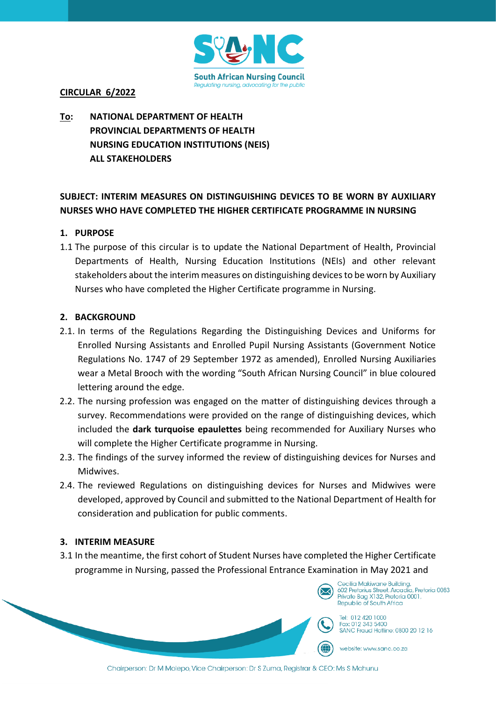

## **CIRCULAR 6/2022**

# **To: NATIONAL DEPARTMENT OF HEALTH PROVINCIAL DEPARTMENTS OF HEALTH NURSING EDUCATION INSTITUTIONS (NEIS) ALL STAKEHOLDERS**

## **SUBJECT: INTERIM MEASURES ON DISTINGUISHING DEVICES TO BE WORN BY AUXILIARY NURSES WHO HAVE COMPLETED THE HIGHER CERTIFICATE PROGRAMME IN NURSING**

## **1. PURPOSE**

1.1 The purpose of this circular is to update the National Department of Health, Provincial Departments of Health, Nursing Education Institutions (NEIs) and other relevant stakeholders about the interim measures on distinguishing devices to be worn by Auxiliary Nurses who have completed the Higher Certificate programme in Nursing.

### **2. BACKGROUND**

- 2.1. In terms of the Regulations Regarding the Distinguishing Devices and Uniforms for Enrolled Nursing Assistants and Enrolled Pupil Nursing Assistants (Government Notice Regulations No. 1747 of 29 September 1972 as amended), Enrolled Nursing Auxiliaries wear a Metal Brooch with the wording "South African Nursing Council" in blue coloured lettering around the edge.
- 2.2. The nursing profession was engaged on the matter of distinguishing devices through a survey. Recommendations were provided on the range of distinguishing devices, which included the **dark turquoise epaulettes** being recommended for Auxiliary Nurses who will complete the Higher Certificate programme in Nursing.
- 2.3. The findings of the survey informed the review of distinguishing devices for Nurses and Midwives.
- 2.4. The reviewed Regulations on distinguishing devices for Nurses and Midwives were developed, approved by Council and submitted to the National Department of Health for consideration and publication for public comments.

### **3. INTERIM MEASURE**

3.1 In the meantime, the first cohort of Student Nurses have completed the Higher Certificate programme in Nursing, passed the Professional Entrance Examination in May 2021 and



Tel: 012 420 1000 Fax: 012 343 5400 SANC Fraud Hotline: 0800 20 12 16

website: www.sanc.co.za